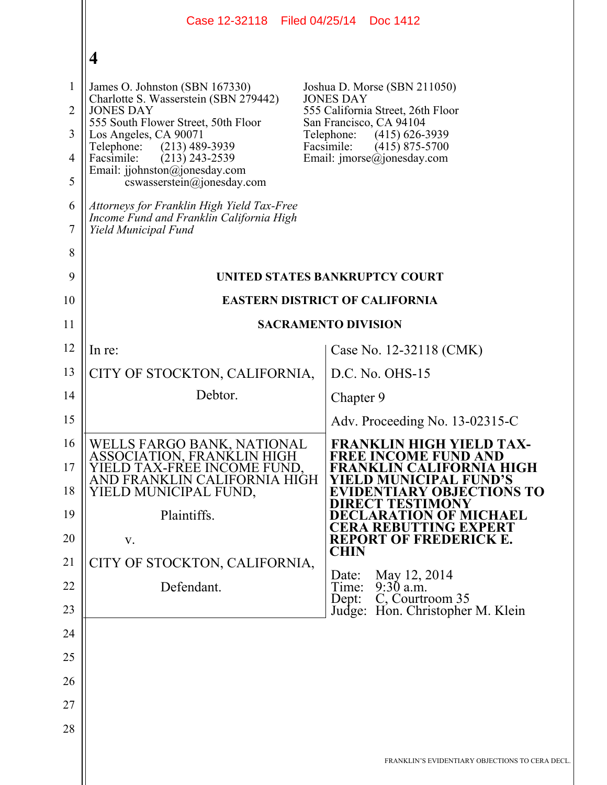|                                                                           | Case 12-32118 Filed 04/25/14                                                                                                                                                                                                                                                                                                                                                                                     | Doc 1412                                                                                                                                                                                                                             |  |
|---------------------------------------------------------------------------|------------------------------------------------------------------------------------------------------------------------------------------------------------------------------------------------------------------------------------------------------------------------------------------------------------------------------------------------------------------------------------------------------------------|--------------------------------------------------------------------------------------------------------------------------------------------------------------------------------------------------------------------------------------|--|
|                                                                           | $\overline{\mathbf{4}}$                                                                                                                                                                                                                                                                                                                                                                                          |                                                                                                                                                                                                                                      |  |
| $\mathbf{1}$<br>$\overline{2}$<br>3<br>$\overline{4}$<br>5<br>6<br>7<br>8 | James O. Johnston (SBN 167330)<br>Charlotte S. Wasserstein (SBN 279442)<br><b>JONES DAY</b><br>555 South Flower Street, 50th Floor<br>Los Angeles, CA 90071<br>Telephone:<br>$(213)$ 489-3939<br>Facsimile:<br>$(213)$ 243-2539<br>Email: jjohnston@jonesday.com<br>cswasserstein@jonesday.com<br>Attorneys for Franklin High Yield Tax-Free<br>Income Fund and Franklin California High<br>Yield Municipal Fund | Joshua D. Morse (SBN 211050)<br><b>JONES DAY</b><br>555 California Street, 26th Floor<br>San Francisco, CA 94104<br>Telephone:<br>$(415)$ 626-3939<br>Facsimile:<br>$(415)$ 875-5700<br>Email: $\text{imorse}(\hat{a})$ jonesday.com |  |
| 9                                                                         | UNITED STATES BANKRUPTCY COURT                                                                                                                                                                                                                                                                                                                                                                                   |                                                                                                                                                                                                                                      |  |
| 10                                                                        | <b>EASTERN DISTRICT OF CALIFORNIA</b>                                                                                                                                                                                                                                                                                                                                                                            |                                                                                                                                                                                                                                      |  |
| 11                                                                        | <b>SACRAMENTO DIVISION</b>                                                                                                                                                                                                                                                                                                                                                                                       |                                                                                                                                                                                                                                      |  |
| 12                                                                        | In re:                                                                                                                                                                                                                                                                                                                                                                                                           | Case No. 12-32118 (CMK)                                                                                                                                                                                                              |  |
| 13                                                                        | CITY OF STOCKTON, CALIFORNIA,                                                                                                                                                                                                                                                                                                                                                                                    | D.C. No. OHS-15                                                                                                                                                                                                                      |  |
| 14                                                                        | Debtor.                                                                                                                                                                                                                                                                                                                                                                                                          | Chapter 9                                                                                                                                                                                                                            |  |
| 15                                                                        |                                                                                                                                                                                                                                                                                                                                                                                                                  | Adv. Proceeding No. 13-02315-C                                                                                                                                                                                                       |  |
| 16<br>17<br>18                                                            | WELLS FARGO BANK, NATIONAL<br>ASSOCIATION, FRANKLIN HIGH<br>YIELD TAX-FREE INCOME FUND.<br>AND FRANKLIN CALIFORNIA HIGH<br>YIELD MUNICIPAL FUND,                                                                                                                                                                                                                                                                 | FRANKLIN HIGH YIELD TAX-<br><b>FREE INCOME FUND AND</b><br>FRANKLIN CALIFORNIA HIGH<br>ELD MUNICIPAL FUND'S<br><b>EVIDENTIARY OBJECTIONS TO</b><br>DIRECT TESTIMONY                                                                  |  |
| 19<br>20                                                                  | Plaintiffs.<br>V.                                                                                                                                                                                                                                                                                                                                                                                                | <b>DECLARATION OF MICHAEL</b><br><b>CERA REBUTTING EXPERT</b><br><b>REPORT OF FREDERICK E.</b>                                                                                                                                       |  |
| 21                                                                        | CITY OF STOCKTON, CALIFORNIA,                                                                                                                                                                                                                                                                                                                                                                                    | <b>CHIN</b>                                                                                                                                                                                                                          |  |
| 22                                                                        | Defendant.                                                                                                                                                                                                                                                                                                                                                                                                       | May 12, 2014<br>Date:<br>$9:30$ a.m.<br>Time:                                                                                                                                                                                        |  |
| 23                                                                        |                                                                                                                                                                                                                                                                                                                                                                                                                  | C, Courtroom 35<br>Dept:<br>Judge: Hon. Christopher M. Klein                                                                                                                                                                         |  |
| 24                                                                        |                                                                                                                                                                                                                                                                                                                                                                                                                  |                                                                                                                                                                                                                                      |  |
| 25                                                                        |                                                                                                                                                                                                                                                                                                                                                                                                                  |                                                                                                                                                                                                                                      |  |
| 26                                                                        |                                                                                                                                                                                                                                                                                                                                                                                                                  |                                                                                                                                                                                                                                      |  |
| 27                                                                        |                                                                                                                                                                                                                                                                                                                                                                                                                  |                                                                                                                                                                                                                                      |  |
| 28                                                                        |                                                                                                                                                                                                                                                                                                                                                                                                                  |                                                                                                                                                                                                                                      |  |
|                                                                           |                                                                                                                                                                                                                                                                                                                                                                                                                  | FRANKLIN'S EVIDENTIARY OBJECTIONS TO CERA DECL.                                                                                                                                                                                      |  |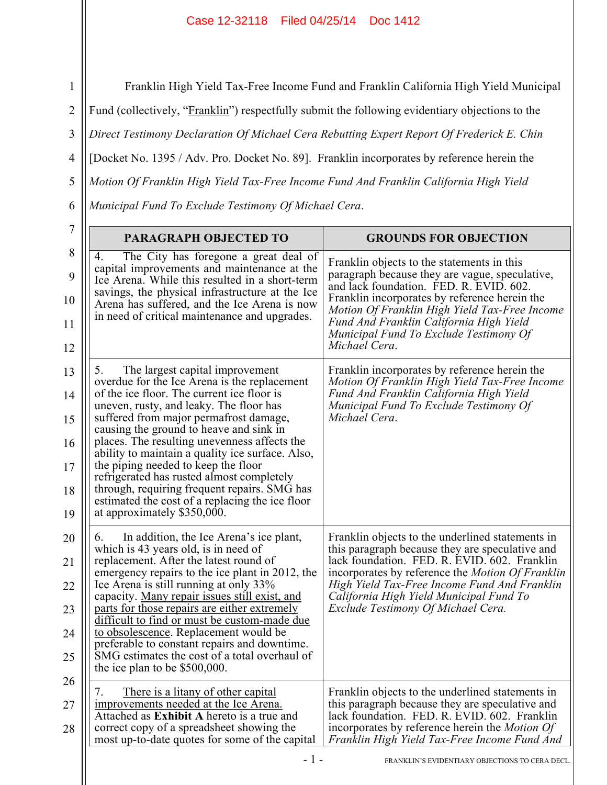## Case 12-32118 Filed 04/25/14 Doc 1412

1 2 3 4 5 6 Franklin High Yield Tax-Free Income Fund and Franklin California High Yield Municipal Fund (collectively, "Franklin") respectfully submit the following evidentiary objections to the *Direct Testimony Declaration Of Michael Cera Rebutting Expert Report Of Frederick E. Chin*  [Docket No. 1395 / Adv. Pro. Docket No. 89]. Franklin incorporates by reference herein the *Motion Of Franklin High Yield Tax-Free Income Fund And Franklin California High Yield Municipal Fund To Exclude Testimony Of Michael Cera*.

| 7<br>8 | <b>PARAGRAPH OBJECTED TO</b>                                                                                                                                                                                                                                                                                                                                                                                                                                                                                                                                                            | <b>GROUNDS FOR OBJECTION</b>                                                                                                                                                                                                                                                                                                                    |  |
|--------|-----------------------------------------------------------------------------------------------------------------------------------------------------------------------------------------------------------------------------------------------------------------------------------------------------------------------------------------------------------------------------------------------------------------------------------------------------------------------------------------------------------------------------------------------------------------------------------------|-------------------------------------------------------------------------------------------------------------------------------------------------------------------------------------------------------------------------------------------------------------------------------------------------------------------------------------------------|--|
| 4.     | The City has foregone a great deal of<br>capital improvements and maintenance at the<br>Ice Arena. While this resulted in a short-term<br>savings, the physical infrastructure at the Ice<br>Arena has suffered, and the Ice Arena is now<br>in need of critical maintenance and upgrades.                                                                                                                                                                                                                                                                                              | Franklin objects to the statements in this<br>paragraph because they are vague, speculative,<br>and lack foundation. FED. R. EVID. 602.<br>Franklin incorporates by reference herein the<br>Motion Of Franklin High Yield Tax-Free Income<br>Fund And Franklin California High Yield<br>Municipal Fund To Exclude Testimony Of<br>Michael Cera. |  |
| 5.     | The largest capital improvement<br>overdue for the Ice Arena is the replacement<br>of the ice floor. The current ice floor is<br>uneven, rusty, and leaky. The floor has<br>suffered from major permafrost damage,<br>causing the ground to heave and sink in<br>places. The resulting unevenness affects the<br>ability to maintain a quality ice surface. Also,<br>the piping needed to keep the floor<br>refrigerated has rusted almost completely<br>through, requiring frequent repairs. SMG has<br>estimated the cost of a replacing the ice floor<br>at approximately \$350,000. | Franklin incorporates by reference herein the<br>Motion Of Franklin High Yield Tax-Free Income<br>Fund And Franklin California High Yield<br>Municipal Fund To Exclude Testimony Of<br>Michael Cera.                                                                                                                                            |  |
| 6.     | In addition, the Ice Arena's ice plant,<br>which is 43 years old, is in need of<br>replacement. After the latest round of<br>emergency repairs to the ice plant in 2012, the<br>Ice Arena is still running at only 33%<br>capacity. Many repair issues still exist, and<br>parts for those repairs are either extremely<br>difficult to find or must be custom-made due<br>to obsolescence. Replacement would be<br>preferable to constant repairs and downtime.<br>SMG estimates the cost of a total overhaul of<br>the ice plan to be $$500,000$ .                                    | Franklin objects to the underlined statements in<br>this paragraph because they are speculative and<br>lack foundation. FED. R. EVID. 602. Franklin<br>incorporates by reference the <i>Motion Of Franklin</i><br>High Yield Tax-Free Income Fund And Franklin<br>California High Yield Municipal Fund To<br>Exclude Testimony Of Michael Cera. |  |
| 7.     | There is a litany of other capital<br>improvements needed at the Ice Arena.<br>Attached as Exhibit A hereto is a true and<br>correct copy of a spreadsheet showing the<br>most up-to-date quotes for some of the capital                                                                                                                                                                                                                                                                                                                                                                | Franklin objects to the underlined statements in<br>this paragraph because they are speculative and<br>lack foundation. FED. R. EVID. 602. Franklin<br>incorporates by reference herein the <i>Motion Of</i><br>Franklin High Yield Tax-Free Income Fund And                                                                                    |  |
|        | - 1 -<br>FRANKLIN'S EVIDENTIARY OBJECTIONS TO CERA DECL.                                                                                                                                                                                                                                                                                                                                                                                                                                                                                                                                |                                                                                                                                                                                                                                                                                                                                                 |  |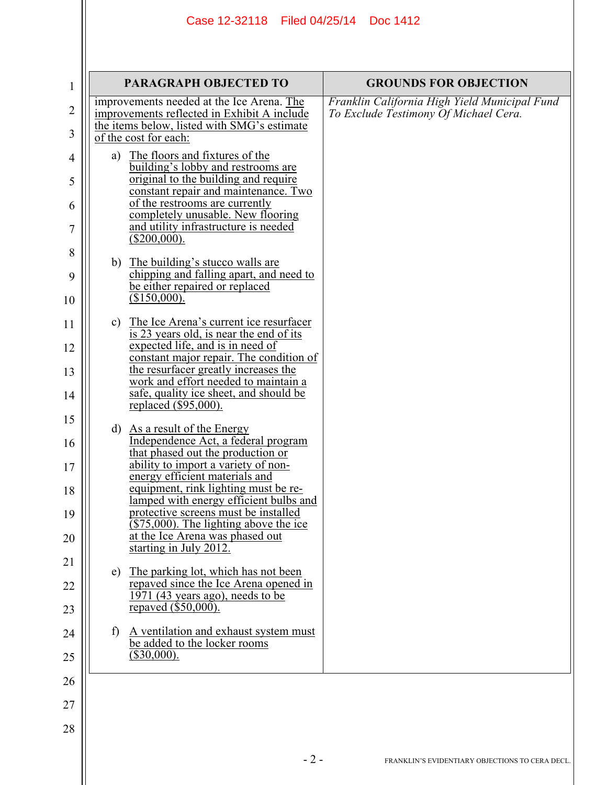|              | <b>PARAGRAPH OBJECTED TO</b>                                                                                                                                                                                                                                                                                                                                                                                          | <b>GROUNDS FOR OBJECTION</b>                                                           |
|--------------|-----------------------------------------------------------------------------------------------------------------------------------------------------------------------------------------------------------------------------------------------------------------------------------------------------------------------------------------------------------------------------------------------------------------------|----------------------------------------------------------------------------------------|
|              | improvements needed at the Ice Arena. The<br>improvements reflected in Exhibit A include<br>the items below, listed with SMG's estimate<br>of the cost for each:                                                                                                                                                                                                                                                      | Franklin California High Yield Municipal Fund<br>To Exclude Testimony Of Michael Cera. |
|              | a) The floors and fixtures of the<br>building's lobby and restrooms are<br>original to the building and require<br>constant repair and maintenance. Two<br>of the restrooms are currently<br>completely unusable. New flooring<br>and utility infrastructure is needed<br>$(\$200,000).$                                                                                                                              |                                                                                        |
|              | b) The building's stucco walls are<br>chipping and falling apart, and need to<br>be either repaired or replaced<br>(\$150,000).                                                                                                                                                                                                                                                                                       |                                                                                        |
|              | c) The Ice Arena's current ice resurfacer<br>is 23 years old, is near the end of its<br>expected life, and is in need of<br>constant major repair. The condition of<br>the resurfacer greatly increases the<br>work and effort needed to maintain a<br>safe, quality ice sheet, and should be<br>replaced $(\$95,000)$ .                                                                                              |                                                                                        |
|              | d) As a result of the Energy<br>Independence Act, a federal program<br>that phased out the production or<br>ability to import a variety of non-<br>energy efficient materials and<br>equipment, rink lighting must be re-<br>lamped with energy efficient bulbs and<br>protective screens must be installed<br>$(\$75,000)$ . The lighting above the ice<br>at the Ice Arena was phased out<br>starting in July 2012. |                                                                                        |
| e)           | The parking lot, which has not been<br>repaved since the Ice Arena opened in<br>1971 (43 years ago), needs to be<br>repaved (\$50,000).                                                                                                                                                                                                                                                                               |                                                                                        |
| $\mathbf{f}$ | A ventilation and exhaust system must<br>be added to the locker rooms<br>$(\$30,000).$                                                                                                                                                                                                                                                                                                                                |                                                                                        |
|              |                                                                                                                                                                                                                                                                                                                                                                                                                       |                                                                                        |